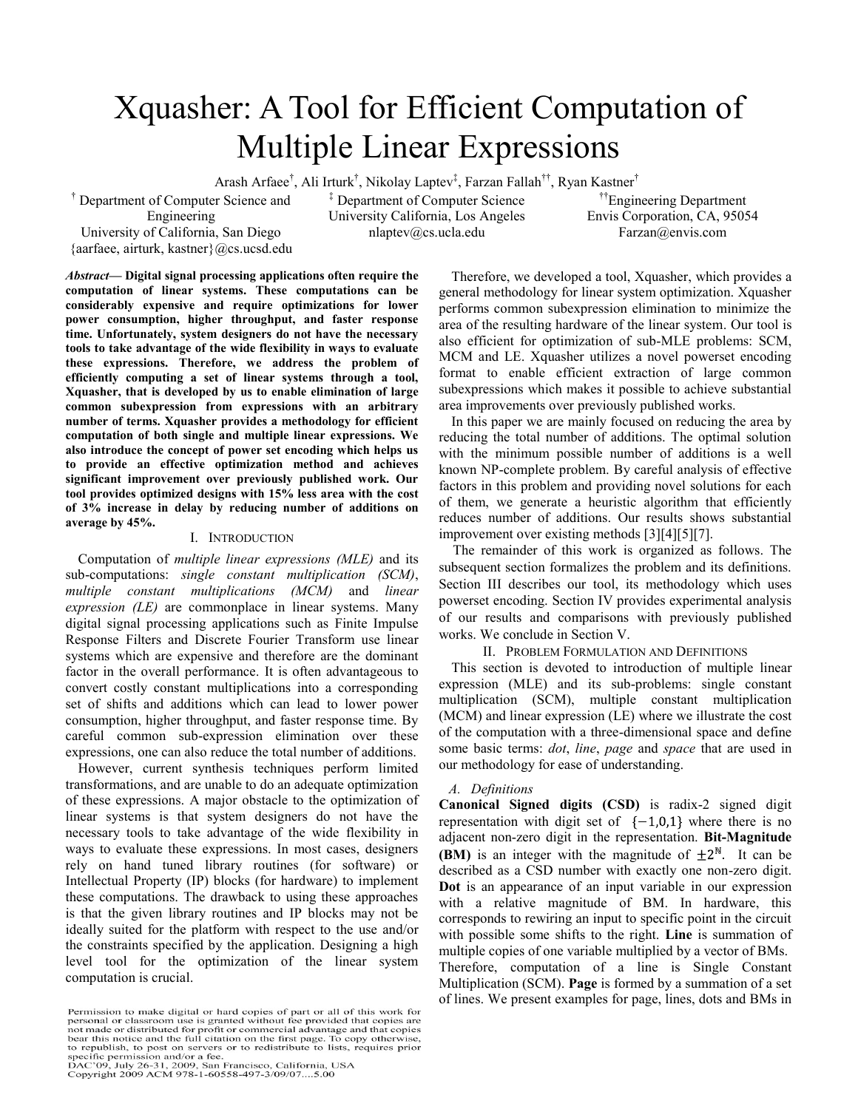# Xquasher: A Tool for Efficient Computation of Multiple Linear Expressions

Arash Arfaee<sup>†</sup>, Ali Irturk<sup>†</sup>, Nikolay Laptev<sup>‡</sup>, Farzan Fallah<sup>††</sup>, Ryan Kastner<sup>†</sup>

<sup>†</sup> Department of Computer Science and Engineering University of California, San Diego

{aarfaee, airturk, kastner}@cs.ucsd.edu

‡ Department of Computer Science University California, Los Angeles nlaptev@cs.ucla.edu

††Engineering Department Envis Corporation, CA, 95054 Farzan@envis.com

*Abstract***— Digital signal processing applications often require the computation of linear systems. These computations can be considerably expensive and require optimizations for lower power consumption, higher throughput, and faster response time. Unfortunately, system designers do not have the necessary tools to take advantage of the wide flexibility in ways to evaluate these expressions. Therefore, we address the problem of efficiently computing a set of linear systems through a tool, Xquasher, that is developed by us to enable elimination of large common subexpression from expressions with an arbitrary number of terms. Xquasher provides a methodology for efficient computation of both single and multiple linear expressions. We also introduce the concept of power set encoding which helps us to provide an effective optimization method and achieves significant improvement over previously published work. Our tool provides optimized designs with 15% less area with the cost of 3% increase in delay by reducing number of additions on average by 45%.**

# I. INTRODUCTION

Computation of *multiple linear expressions (MLE)* and its sub-computations: *single constant multiplication (SCM)*, *multiple constant multiplications (MCM)* and *linear expression (LE)* are commonplace in linear systems. Many digital signal processing applications such as Finite Impulse Response Filters and Discrete Fourier Transform use linear systems which are expensive and therefore are the dominant factor in the overall performance. It is often advantageous to convert costly constant multiplications into a corresponding set of shifts and additions which can lead to lower power consumption, higher throughput, and faster response time. By careful common sub-expression elimination over these expressions, one can also reduce the total number of additions.

However, current synthesis techniques perform limited transformations, and are unable to do an adequate optimization of these expressions. A major obstacle to the optimization of linear systems is that system designers do not have the necessary tools to take advantage of the wide flexibility in ways to evaluate these expressions. In most cases, designers rely on hand tuned library routines (for software) or Intellectual Property (IP) blocks (for hardware) to implement these computations. The drawback to using these approaches is that the given library routines and IP blocks may not be ideally suited for the platform with respect to the use and/or the constraints specified by the application. Designing a high level tool for the optimization of the linear system computation is crucial.

Permission to make digital or hard copies of part or all of this work for<br>personal or classroom use is granted without fee provided that copies are not made or distributed for profit or commercial advantage and that copies bear this notice and the full citation on the first page. To copy otherwise to republish, to post on servers or to redistribute to lists, requires prior to republish, to post on servers of to redistribute to fiss, is<br>specific permission and/or a fee.<br>DAC'09, July 26-31, 2009, San Francisco, California, USA<br>Copyright 2009 ACM 978-1-60558-497-3/09/07....5.00

Therefore, we developed a tool, Xquasher, which provides a general methodology for linear system optimization. Xquasher performs common subexpression elimination to minimize the area of the resulting hardware of the linear system. Our tool is also efficient for optimization of sub-MLE problems: SCM, MCM and LE. Xquasher utilizes a novel powerset encoding format to enable efficient extraction of large common subexpressions which makes it possible to achieve substantial area improvements over previously published works.

In this paper we are mainly focused on reducing the area by reducing the total number of additions. The optimal solution with the minimum possible number of additions is a well known NP-complete problem. By careful analysis of effective factors in this problem and providing novel solutions for each of them, we generate a heuristic algorithm that efficiently reduces number of additions. Our results shows substantial improvement over existing methods [3][4][5][7].

The remainder of this work is organized as follows. The subsequent section formalizes the problem and its definitions. Section III describes our tool, its methodology which uses powerset encoding. Section IV provides experimental analysis of our results and comparisons with previously published works. We conclude in Section V.

### II. PROBLEM FORMULATION AND DEFINITIONS

This section is devoted to introduction of multiple linear expression (MLE) and its sub-problems: single constant multiplication (SCM), multiple constant multiplication (MCM) and linear expression (LE) where we illustrate the cost of the computation with a three-dimensional space and define some basic terms: *dot*, *line*, *page* and *space* that are used in our methodology for ease of understanding.

### *A. Definitions*

**Canonical Signed digits (CSD)** is radix-2 signed digit representation with digit set of  $\{-1,0,1\}$  where there is no adjacent non-zero digit in the representation. **Bit-Magnitude (BM)** is an integer with the magnitude of  $\pm 2^N$ . It can be described as a CSD number with exactly one non-zero digit. **Dot** is an appearance of an input variable in our expression with a relative magnitude of BM. In hardware, this corresponds to rewiring an input to specific point in the circuit with possible some shifts to the right. **Line** is summation of multiple copies of one variable multiplied by a vector of BMs. Therefore, computation of a line is Single Constant Multiplication (SCM). **Page** is formed by a summation of a set of lines. We present examples for page, lines, dots and BMs in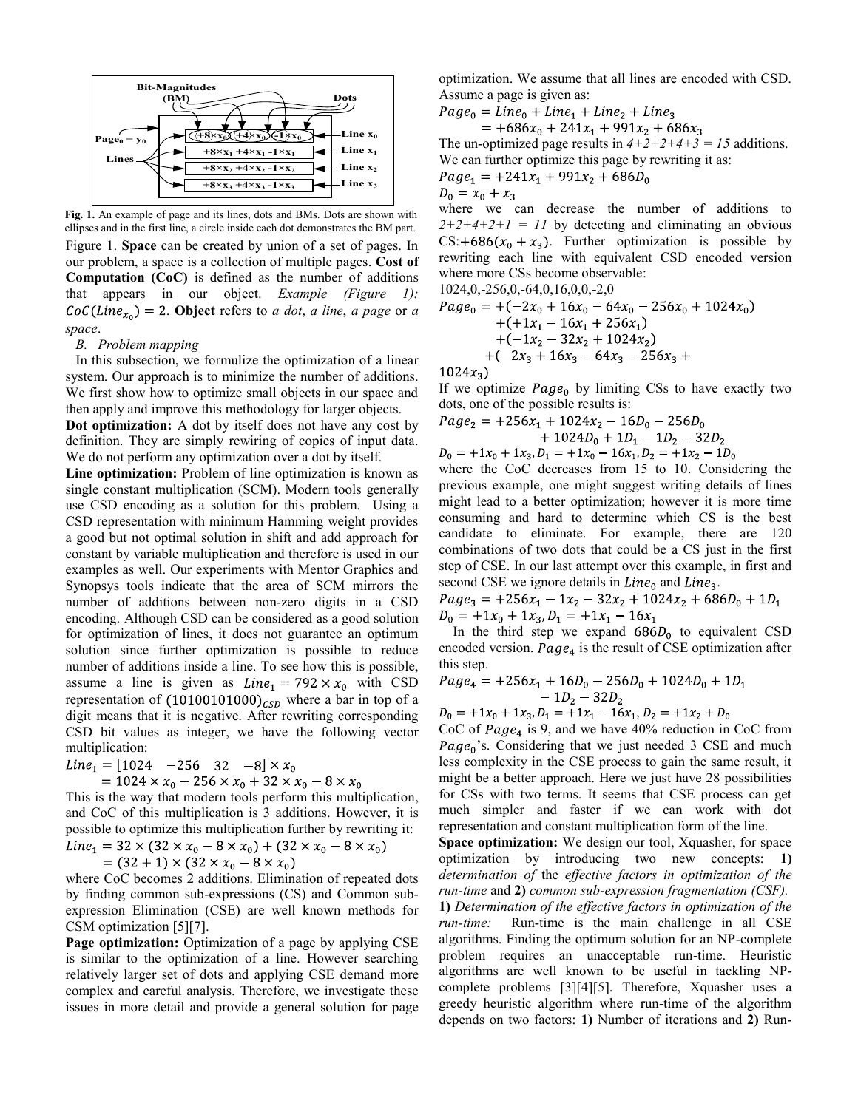

Figure 1. **Space** can be created by union of a set of pages. In our problem, a space is a collection of multiple pages. **Cost of Computation (CoC)** is defined as the number of additions that appears in our object. *Example (Figure 1):*  $CoC(Line_{x_0}) = 2$ . **Object** refers to *a dot*, *a line*, *a page* or *a space*. **Fig. 1.** An example of page and its lines, dots and BMs. Dots are shown with ellipses and in the first line, a circle inside each dot demonstrates the BM part.

# *B. Problem mapping*

In this subsection, we formulize the optimization of a linear system. Our approach is to minimize the number of additions. We first show how to optimize small objects in our space and then apply and improve this methodology for larger objects.

**Dot optimization:** A dot by itself does not have any cost by definition. They are simply rewiring of copies of input data. We do not perform any optimization over a dot by itself.

**Line optimization:** Problem of line optimization is known as single constant multiplication (SCM). Modern tools generally use CSD encoding as a solution for this problem. Using a CSD representation with minimum Hamming weight provides a good but not optimal solution in shift and add approach for constant by variable multiplication and therefore is used in our examples as well. Our experiments with Mentor Graphics and Synopsys tools indicate that the area of SCM mirrors the number of additions between non-zero digits in a CSD encoding. Although CSD can be considered as a good solution for optimization of lines, it does not guarantee an optimum solution since further optimization is possible to reduce number of additions inside a line. To see how this is possible, assume a line is given as  $Line_1 = 792 \times x_0$  with CSD representation of  $(10\overline{1}0010\overline{1}000)_{CSD}$  where a bar in top of a digit means that it is negative. After rewriting corresponding CSD bit values as integer, we have the following vector multiplication:

$$
Line_1 = [1024 \quad -256 \quad 32 \quad -8] \times x_0
$$

$$
= 1024 \times x_0 - 256 \times x_0 + 32 \times x_0 - 8 \times x
$$

This is the way that modern tools perform this multiplication, and CoC of this multiplication is 3 additions. However, it is possible to optimize this multiplication further by rewriting it:  $Line_1 = 32 \times (32 \times x_0 - 8 \times x_0) + (32 \times x_0 - 8 \times x_0)$ 

$$
(32+1)\times(32\times x_0 - 8\times x_0)
$$

where CoC becomes 2 additions. Elimination of repeated dots by finding common sub-expressions (CS) and Common subexpression Elimination (CSE) are well known methods for CSM optimization [5][7].

**Page optimization:** Optimization of a page by applying CSE is similar to the optimization of a line. However searching relatively larger set of dots and applying CSE demand more complex and careful analysis. Therefore, we investigate these issues in more detail and provide a general solution for page

optimization. We assume that all lines are encoded with CSD. Assume a page is given as:

 $Page_0 = Line_0 + Line_1 + Line_2 + Line_3$  $= +686x_0 + 241x_1 + 991x_2 + 686x_3$ 

The un-optimized page results in  $4+2+2+4+3 = 15$  additions. We can further optimize this page by rewriting it as:<br> $P_{QQQ} = \pm 241x + 991x + 686D$  $\overline{P}$ 

$$
Page_1 = +241x_1 + 991x_2 + 686D_0
$$

 $D_0 = x_0 + x_3$ 

where we can decrease the number of additions to  $2+2+4+2+1 = 11$  by detecting and eliminating an obvious  $CS: +686(x_0 + x_3)$ . Further optimization is possible by rewriting each line with equivalent CSD encoded version where more CSs become observable:

1024,0,-256,0,-64,0,16,0,0,-2,0  $Page_0 = +(-2x_0 + 16x_0 - 64x_0 - 256x_0 + 1024x_0)$  $+(1x_1 - 16x_1 + 256x_1)$  $+(-1x_2 - 32x_2 + 1024x_2)$  $+(-2x_3 + 16x_3 - 64x_3 - 256x_3 +$ 

 $1024x_3$ 

If we optimize  $Page_0$  by limiting CSs to have exactly two dots, one of the possible results is:

$$
Page_2 = +256x_1 + 1024x_2 - 16D_0 - 256D_0 + 1024D_0 + 1D_1 - 1D_2 - 32D_2
$$

 $D_0 = +1x_0 + 1x_3$ ,  $D_1 = +1x_0 - 16x_1$ ,  $D_2 = +1x_2 - 1D_0$ 

where the CoC decreases from 15 to 10. Considering the previous example, one might suggest writing details of lines might lead to a better optimization; however it is more time consuming and hard to determine which CS is the best candidate to eliminate. For example, there are 120 combinations of two dots that could be a CS just in the first step of CSE. In our last attempt over this example, in first and second CSE we ignore details in  $Line<sub>0</sub>$  and  $Line<sub>3</sub>$ .

 $Page_3 = +256x_1 - 1x_2 - 32x_2 + 1024x_2 + 686D_0 + 1D_1$  $D_0 = +1x_0 + 1x_3$ ,  $D_1 = +1x_1 - 16x_1$ 

In the third step we expand  $686D_0$  to equivalent CSD encoded version.  $Page_4$  is the result of CSE optimization after this step.

$$
Page_4 = +256x_1 + 16D_0 - 256D_0 + 1024D_0 + 1D_1 - 1D_2 - 32D_2
$$

$$
D_0 = +1x_0 + 1x_3, D_1 = +1x_1 - 16x_1, D_2 = +1x_2 + D_0
$$

CoC of  $Page_4$  is 9, and we have 40% reduction in CoC from  $Page<sub>0</sub>$ 's. Considering that we just needed 3 CSE and much less complexity in the CSE process to gain the same result, it might be a better approach. Here we just have 28 possibilities for CSs with two terms. It seems that CSE process can get much simpler and faster if we can work with dot representation and constant multiplication form of the line.

**Space optimization:** We design our tool, Xquasher, for space optimization by introducing two new concepts: **1)** *determination of* the *effective factors in optimization of the run-time* and **2)** *common sub-expression fragmentation (CSF).*

**1)** *Determination of the effective factors in optimization of the run-time:* Run-time is the main challenge in all CSE algorithms. Finding the optimum solution for an NP-complete problem requires an unacceptable run-time. Heuristic algorithms are well known to be useful in tackling NPcomplete problems [3][4][5]. Therefore, Xquasher uses a greedy heuristic algorithm where run-time of the algorithm depends on two factors: **1)** Number of iterations and **2)** Run-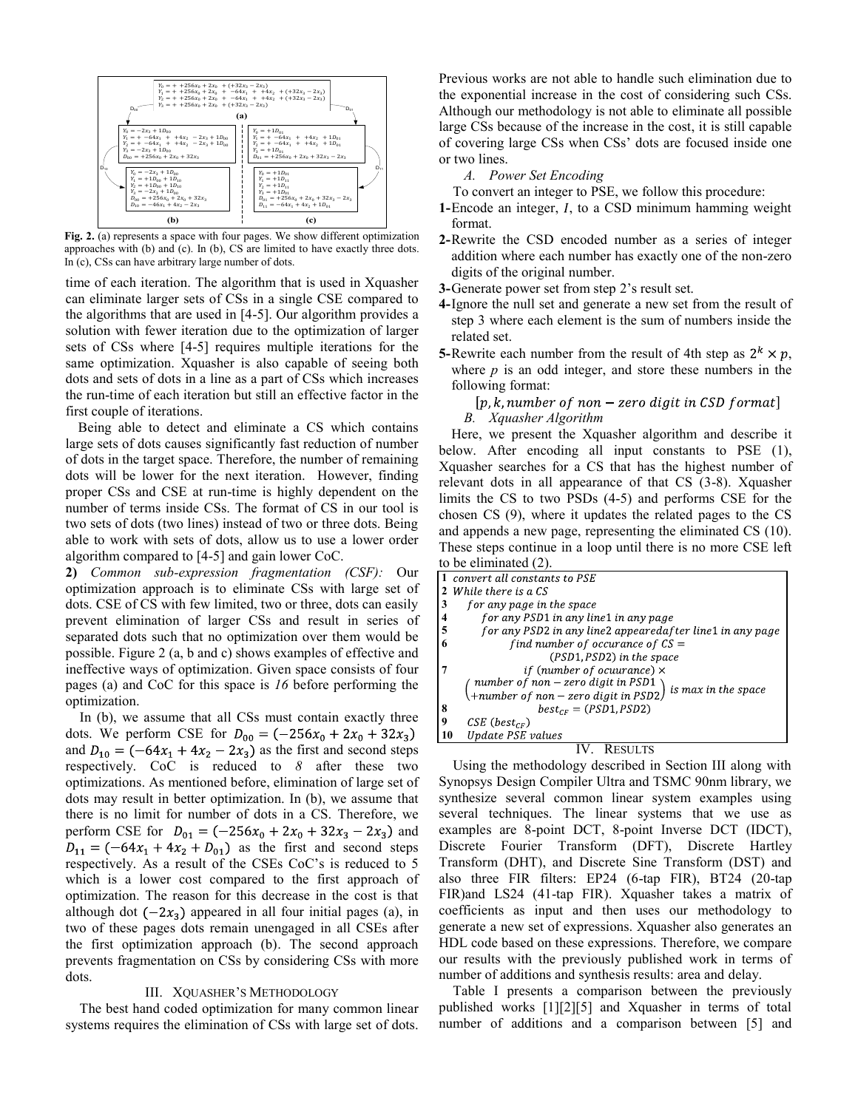

**Fig. 2.** (a) represents a space with four pages. We show different optimization approaches with (b) and (c). In (b), CS are limited to have exactly three dots. In (c), CSs can have arbitrary large number of dots.

time of each iteration. The algorithm that is used in Xquasher can eliminate larger sets of CSs in a single CSE compared to the algorithms that are used in [4-5]. Our algorithm provides a solution with fewer iteration due to the optimization of larger sets of CSs where [4-5] requires multiple iterations for the same optimization. Xquasher is also capable of seeing both dots and sets of dots in a line as a part of CSs which increases the run-time of each iteration but still an effective factor in the first couple of iterations.

Being able to detect and eliminate a CS which contains large sets of dots causes significantly fast reduction of number of dots in the target space. Therefore, the number of remaining dots will be lower for the next iteration. However, finding proper CSs and CSE at run-time is highly dependent on the number of terms inside CSs. The format of CS in our tool is two sets of dots (two lines) instead of two or three dots. Being able to work with sets of dots, allow us to use a lower order algorithm compared to [4-5] and gain lower CoC.

**2)** *Common sub-expression fragmentation (CSF):* Our optimization approach is to eliminate CSs with large set of dots. CSE of CS with few limited, two or three, dots can easily prevent elimination of larger CSs and result in series of separated dots such that no optimization over them would be possible. Figure 2 (a, b and c) shows examples of effective and ineffective ways of optimization. Given space consists of four pages (a) and CoC for this space is *16* before performing the optimization.

In (b), we assume that all CSs must contain exactly three dots. We perform CSE for  $D_{00} = (-256x_0 + 2x_0 + 32x_3)$ and  $D_{10} = (-64x_1 + 4x_2 - 2x_3)$  as the first and second steps respectively. CoC is reduced to *8* after these two optimizations. As mentioned before, elimination of large set of dots may result in better optimization. In (b), we assume that there is no limit for number of dots in a CS. Therefore, we perform CSE for  $D_{01} = (-256x_0 + 2x_0 + 32x_3 - 2x_3)$  and  $D_{11} = (-64x_1 + 4x_2 + D_{01})$  as the first and second steps respectively. As a result of the CSEs CoC's is reduced to 5 which is a lower cost compared to the first approach of optimization. The reason for this decrease in the cost is that although dot  $(-2x_3)$  appeared in all four initial pages (a), in two of these pages dots remain unengaged in all CSEs after the first optimization approach (b). The second approach prevents fragmentation on CSs by considering CSs with more dots.

### III. XQUASHER'S METHODOLOGY

The best hand coded optimization for many common linear systems requires the elimination of CSs with large set of dots.

Previous works are not able to handle such elimination due to the exponential increase in the cost of considering such CSs. Although our methodology is not able to eliminate all possible large CSs because of the increase in the cost, it is still capable of covering large CSs when CSs' dots are focused inside one or two lines.

*A. Power Set Encoding*

To convert an integer to PSE, we follow this procedure:

- **1-Encode an integer,** *I***, to a CSD minimum hamming weight** format.
- **2-**Rewrite the CSD encoded number as a series of integer addition where each number has exactly one of the non-zero digits of the original number.
- **3-**Generate power set from step 2's result set.
- **4-**Ignore the null set and generate a new set from the result of step 3 where each element is the sum of numbers inside the related set.
- **5-**Rewrite each number from the result of 4th step as  $2^k \times p$ , where  $p$  is an odd integer, and store these numbers in the following format:

 $[p, k, number of non-zero digit in CSD format]$ 

*B. Xquasher Algorithm*

Here, we present the Xquasher algorithm and describe it below. After encoding all input constants to PSE (1), Xquasher searches for a CS that has the highest number of relevant dots in all appearance of that CS (3-8). Xquasher limits the CS to two PSDs (4-5) and performs CSE for the chosen CS (9), where it updates the related pages to the CS and appends a new page, representing the eliminated CS (10). These steps continue in a loop until there is no more CSE left to be eliminated (2).

|    | to be emiliated (2)                                       |  |  |  |  |
|----|-----------------------------------------------------------|--|--|--|--|
|    | convert all constants to PSE                              |  |  |  |  |
|    | While there is a CS                                       |  |  |  |  |
| 3  | for any page in the space                                 |  |  |  |  |
| 4  | for any PSD1 in any line1 in any page                     |  |  |  |  |
| 5  | for any PSD2 in any line2 appearedafter line1 in any page |  |  |  |  |
|    | find number of occurance of $CS =$                        |  |  |  |  |
|    | (PSD1, PSD2) in the space                                 |  |  |  |  |
|    | <i>if</i> (number of ocuurance) $\times$                  |  |  |  |  |
|    | number of non - zero digit in PSD1<br>is max in the space |  |  |  |  |
|    | +number of non – zero digit in PSD2).                     |  |  |  |  |
| 8  | $best_{CF} = (PSD1, PSD2)$                                |  |  |  |  |
| 9  | $CSE$ (best <sub>CF</sub> )                               |  |  |  |  |
| 10 | Update PSE values                                         |  |  |  |  |
|    |                                                           |  |  |  |  |

Using the methodology described in Section III along with Synopsys Design Compiler Ultra and TSMC 90nm library, we synthesize several common linear system examples using several techniques. The linear systems that we use as examples are 8-point DCT, 8-point Inverse DCT (IDCT), Discrete Fourier Transform (DFT), Discrete Hartley Transform (DHT), and Discrete Sine Transform (DST) and also three FIR filters: EP24 (6-tap FIR), BT24 (20-tap FIR)and LS24 (41-tap FIR). Xquasher takes a matrix of coefficients as input and then uses our methodology to generate a new set of expressions. Xquasher also generates an HDL code based on these expressions. Therefore, we compare our results with the previously published work in terms of number of additions and synthesis results: area and delay.

Table I presents a comparison between the previously published works [1][2][5] and Xquasher in terms of total number of additions and a comparison between [5] and